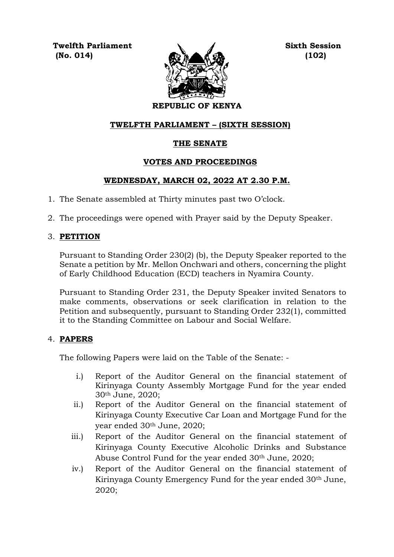**Twelfth Parliament Sixth Session (No. 014) (102)**



## **REPUBLIC OF KENYA**

### **TWELFTH PARLIAMENT – (SIXTH SESSION)**

## **THE SENATE**

### **VOTES AND PROCEEDINGS**

### **WEDNESDAY, MARCH 02, 2022 AT 2.30 P.M.**

- 1. The Senate assembled at Thirty minutes past two O'clock.
- 2. The proceedings were opened with Prayer said by the Deputy Speaker.

### 3. **PETITION**

Pursuant to Standing Order 230(2) (b), the Deputy Speaker reported to the Senate a petition by Mr. Mellon Onchwari and others, concerning the plight of Early Childhood Education (ECD) teachers in Nyamira County.

Pursuant to Standing Order 231, the Deputy Speaker invited Senators to make comments, observations or seek clarification in relation to the Petition and subsequently, pursuant to Standing Order 232(1), committed it to the Standing Committee on Labour and Social Welfare.

#### 4. **PAPERS**

The following Papers were laid on the Table of the Senate: -

- i.) Report of the Auditor General on the financial statement of Kirinyaga County Assembly Mortgage Fund for the year ended 30th June, 2020;
- ii.) Report of the Auditor General on the financial statement of Kirinyaga County Executive Car Loan and Mortgage Fund for the year ended 30th June, 2020;
- iii.) Report of the Auditor General on the financial statement of Kirinyaga County Executive Alcoholic Drinks and Substance Abuse Control Fund for the year ended 30th June, 2020;
- iv.) Report of the Auditor General on the financial statement of Kirinyaga County Emergency Fund for the year ended 30th June, 2020;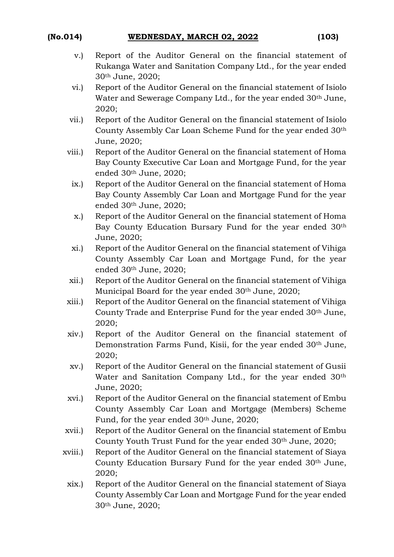- v.) Report of the Auditor General on the financial statement of Rukanga Water and Sanitation Company Ltd., for the year ended 30th June, 2020;
- vi.) Report of the Auditor General on the financial statement of Isiolo Water and Sewerage Company Ltd., for the year ended 30th June, 2020;
- vii.) Report of the Auditor General on the financial statement of Isiolo County Assembly Car Loan Scheme Fund for the year ended 30th June, 2020;
- viii.) Report of the Auditor General on the financial statement of Homa Bay County Executive Car Loan and Mortgage Fund, for the year ended 30th June, 2020;
- ix.) Report of the Auditor General on the financial statement of Homa Bay County Assembly Car Loan and Mortgage Fund for the year ended 30th June, 2020;
- x.) Report of the Auditor General on the financial statement of Homa Bay County Education Bursary Fund for the year ended 30th June, 2020;
- xi.) Report of the Auditor General on the financial statement of Vihiga County Assembly Car Loan and Mortgage Fund, for the year ended 30th June, 2020;
- xii.) Report of the Auditor General on the financial statement of Vihiga Municipal Board for the year ended 30<sup>th</sup> June, 2020;
- xiii.) Report of the Auditor General on the financial statement of Vihiga County Trade and Enterprise Fund for the year ended 30th June, 2020;
- xiv.) Report of the Auditor General on the financial statement of Demonstration Farms Fund, Kisii, for the year ended 30th June, 2020;
- xv.) Report of the Auditor General on the financial statement of Gusii Water and Sanitation Company Ltd., for the year ended 30<sup>th</sup> June, 2020;
- xvi.) Report of the Auditor General on the financial statement of Embu County Assembly Car Loan and Mortgage (Members) Scheme Fund, for the year ended 30<sup>th</sup> June, 2020;
- xvii.) Report of the Auditor General on the financial statement of Embu County Youth Trust Fund for the year ended 30th June, 2020;
- xviii.) Report of the Auditor General on the financial statement of Siaya County Education Bursary Fund for the year ended 30th June, 2020;
	- xix.) Report of the Auditor General on the financial statement of Siaya County Assembly Car Loan and Mortgage Fund for the year ended 30th June, 2020;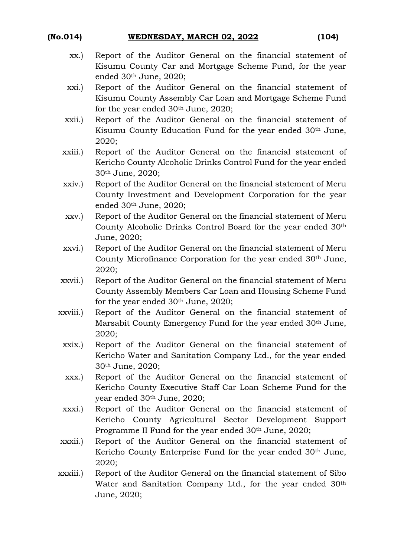## **(No.014) WEDNESDAY, MARCH 02, 2022 (104)**

- 
- xx.) Report of the Auditor General on the financial statement of Kisumu County Car and Mortgage Scheme Fund, for the year ended 30th June, 2020;
- xxi.) Report of the Auditor General on the financial statement of Kisumu County Assembly Car Loan and Mortgage Scheme Fund for the year ended 30th June, 2020;
- xxii.) Report of the Auditor General on the financial statement of Kisumu County Education Fund for the year ended 30th June, 2020;
- xxiii.) Report of the Auditor General on the financial statement of Kericho County Alcoholic Drinks Control Fund for the year ended 30th June, 2020;
- xxiv.) Report of the Auditor General on the financial statement of Meru County Investment and Development Corporation for the year ended 30th June, 2020;
- xxv.) Report of the Auditor General on the financial statement of Meru County Alcoholic Drinks Control Board for the year ended 30th June, 2020;
- xxvi.) Report of the Auditor General on the financial statement of Meru County Microfinance Corporation for the year ended 30th June, 2020;
- xxvii.) Report of the Auditor General on the financial statement of Meru County Assembly Members Car Loan and Housing Scheme Fund for the year ended 30th June, 2020;
- xxviii.) Report of the Auditor General on the financial statement of Marsabit County Emergency Fund for the year ended 30th June, 2020;
	- xxix.) Report of the Auditor General on the financial statement of Kericho Water and Sanitation Company Ltd., for the year ended 30th June, 2020;
	- xxx.) Report of the Auditor General on the financial statement of Kericho County Executive Staff Car Loan Scheme Fund for the year ended 30th June, 2020;
	- xxxi.) Report of the Auditor General on the financial statement of Kericho County Agricultural Sector Development Support Programme II Fund for the year ended 30th June, 2020;
- xxxii.) Report of the Auditor General on the financial statement of Kericho County Enterprise Fund for the year ended 30<sup>th</sup> June, 2020;
- xxxiii.) Report of the Auditor General on the financial statement of Sibo Water and Sanitation Company Ltd., for the year ended 30<sup>th</sup> June, 2020;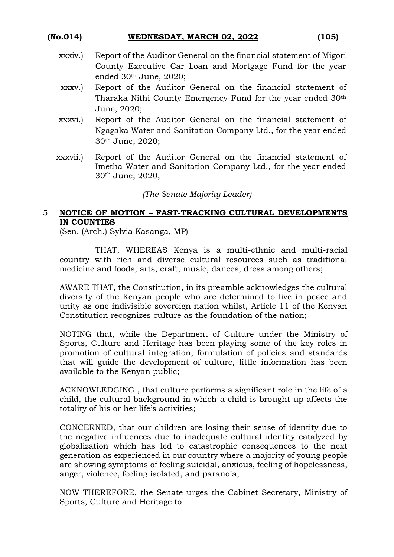#### **(No.014) WEDNESDAY, MARCH 02, 2022 (105)**

- xxxiv.) Report of the Auditor General on the financial statement of Migori County Executive Car Loan and Mortgage Fund for the year ended 30th June, 2020;
- xxxv.) Report of the Auditor General on the financial statement of Tharaka Nithi County Emergency Fund for the year ended 30th June, 2020;
- xxxvi.) Report of the Auditor General on the financial statement of Ngagaka Water and Sanitation Company Ltd., for the year ended 30th June, 2020;
- xxxvii.) Report of the Auditor General on the financial statement of Imetha Water and Sanitation Company Ltd., for the year ended 30th June, 2020;

#### *(The Senate Majority Leader)*

## 5. **NOTICE OF MOTION – FAST-TRACKING CULTURAL DEVELOPMENTS IN COUNTIES**

(Sen. (Arch.) Sylvia Kasanga, MP)

THAT, WHEREAS Kenya is a multi-ethnic and multi-racial country with rich and diverse cultural resources such as traditional medicine and foods, arts, craft, music, dances, dress among others;

AWARE THAT, the Constitution, in its preamble acknowledges the cultural diversity of the Kenyan people who are determined to live in peace and unity as one indivisible sovereign nation whilst, Article 11 of the Kenyan Constitution recognizes culture as the foundation of the nation;

NOTING that, while the Department of Culture under the Ministry of Sports, Culture and Heritage has been playing some of the key roles in promotion of cultural integration, formulation of policies and standards that will guide the development of culture, little information has been available to the Kenyan public;

ACKNOWLEDGING , that culture performs a significant role in the life of a child, the cultural background in which a child is brought up affects the totality of his or her life's activities;

CONCERNED, that our children are losing their sense of identity due to the negative influences due to inadequate cultural identity catalyzed by globalization which has led to catastrophic consequences to the next generation as experienced in our country where a majority of young people are showing symptoms of feeling suicidal, anxious, feeling of hopelessness, anger, violence, feeling isolated, and paranoia;

NOW THEREFORE, the Senate urges the Cabinet Secretary, Ministry of Sports, Culture and Heritage to: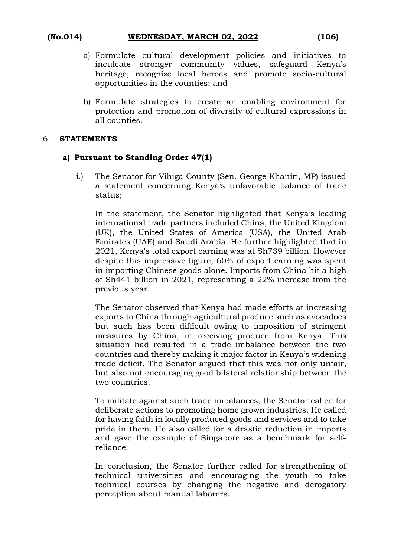## **(No.014) WEDNESDAY, MARCH 02, 2022 (106)**

- a) Formulate cultural development policies and initiatives to inculcate stronger community values, safeguard Kenya's heritage, recognize local heroes and promote socio-cultural opportunities in the counties; and
- b) Formulate strategies to create an enabling environment for protection and promotion of diversity of cultural expressions in all counties.

#### 6. **STATEMENTS**

#### **a) Pursuant to Standing Order 47(1)**

i.) The Senator for Vihiga County (Sen. George Khaniri, MP) issued a statement concerning Kenya's unfavorable balance of trade status;

In the statement, the Senator highlighted that Kenya's leading international trade partners included China, the United Kingdom (UK), the United States of America (USA), the United Arab Emirates (UAE) and Saudi Arabia. He further highlighted that in 2021, Kenya's total export earning was at Sh739 billion. However despite this impressive figure, 60% of export earning was spent in importing Chinese goods alone. Imports from China hit a high of Sh441 billion in 2021, representing a 22% increase from the previous year.

The Senator observed that Kenya had made efforts at increasing exports to China through agricultural produce such as avocadoes but such has been difficult owing to imposition of stringent measures by China, in receiving produce from Kenya. This situation had resulted in a trade imbalance between the two countries and thereby making it major factor in Kenya's widening trade deficit. The Senator argued that this was not only unfair, but also not encouraging good bilateral relationship between the two countries.

To militate against such trade imbalances, the Senator called for deliberate actions to promoting home grown industries. He called for having faith in locally produced goods and services and to take pride in them. He also called for a drastic reduction in imports and gave the example of Singapore as a benchmark for selfreliance.

In conclusion, the Senator further called for strengthening of technical universities and encouraging the youth to take technical courses by changing the negative and derogatory perception about manual laborers.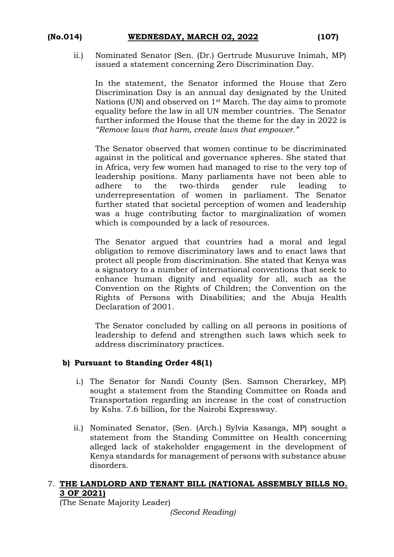# **(No.014) WEDNESDAY, MARCH 02, 2022 (107)**

ii.) Nominated Senator (Sen. (Dr.) Gertrude Musuruve Inimah, MP) issued a statement concerning Zero Discrimination Day.

In the statement, the Senator informed the House that Zero Discrimination Day is an annual day designated by the United Nations (UN) and observed on 1st March. The day aims to promote equality before the law in all UN member countries. The Senator further informed the House that the theme for the day in 2022 is *"Remove laws that harm, create laws that empower."*

The Senator observed that women continue to be discriminated against in the political and governance spheres. She stated that in Africa, very few women had managed to rise to the very top of leadership positions. Many parliaments have not been able to adhere to the two-thirds gender rule leading to underrepresentation of women in parliament. The Senator further stated that societal perception of women and leadership was a huge contributing factor to marginalization of women which is compounded by a lack of resources.

The Senator argued that countries had a moral and legal obligation to remove discriminatory laws and to enact laws that protect all people from discrimination. She stated that Kenya was a signatory to a number of international conventions that seek to enhance human dignity and equality for all, such as the Convention on the Rights of Children; the Convention on the Rights of Persons with Disabilities; and the Abuja Health Declaration of 2001.

The Senator concluded by calling on all persons in positions of leadership to defend and strengthen such laws which seek to address discriminatory practices.

## **b) Pursuant to Standing Order 48(1)**

- i.) The Senator for Nandi County (Sen. Samson Cherarkey, MP) sought a statement from the Standing Committee on Roads and Transportation regarding an increase in the cost of construction by Kshs. 7.6 billion, for the Nairobi Expressway.
- ii.) Nominated Senator, (Sen. (Arch.) Sylvia Kasanga, MP) sought a statement from the Standing Committee on Health concerning alleged lack of stakeholder engagement in the development of Kenya standards for management of persons with substance abuse disorders.

### 7. **THE LANDLORD AND TENANT BILL (NATIONAL ASSEMBLY BILLS NO. 3 OF 2021)**

(The Senate Majority Leader)

*(Second Reading)*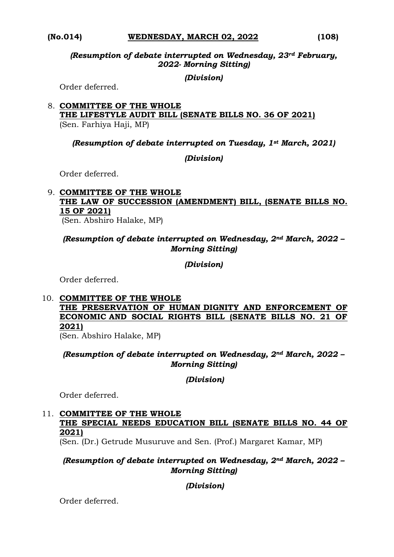#### **(No.014) WEDNESDAY, MARCH 02, 2022 (108)**

*(Resumption of debate interrupted on Wednesday, 23rd February, 2022- Morning Sitting)*

*(Division)*

Order deferred.

#### 8. **COMMITTEE OF THE WHOLE THE LIFESTYLE AUDIT BILL (SENATE BILLS NO. 36 OF 2021)**  (Sen. Farhiya Haji, MP)

*(Resumption of debate interrupted on Tuesday, 1st March, 2021)* 

### *(Division)*

Order deferred.

#### 9. **COMMITTEE OF THE WHOLE THE LAW OF SUCCESSION (AMENDMENT) BILL, (SENATE BILLS NO. 15 OF 2021)** (Sen. Abshiro Halake, MP)

*(Resumption of debate interrupted on Wednesday, 2nd March, 2022 – Morning Sitting)* 

*(Division)*

Order deferred.

10. **COMMITTEE OF THE WHOLE THE PRESERVATION OF HUMAN DIGNITY AND ENFORCEMENT OF ECONOMIC AND SOCIAL RIGHTS BILL (SENATE BILLS NO. 21 OF 2021)** 

(Sen. Abshiro Halake, MP)

*(Resumption of debate interrupted on Wednesday, 2nd March, 2022 – Morning Sitting)* 

*(Division)*

Order deferred.

## 11. **COMMITTEE OF THE WHOLE THE SPECIAL NEEDS EDUCATION BILL (SENATE BILLS NO. 44 OF 2021)**

(Sen. (Dr.) Getrude Musuruve and Sen. (Prof.) Margaret Kamar, MP)

## *(Resumption of debate interrupted on Wednesday, 2nd March, 2022 – Morning Sitting)*

*(Division)*

Order deferred.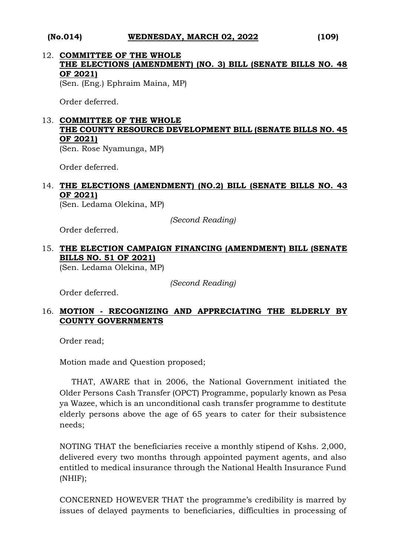#### **(No.014) WEDNESDAY, MARCH 02, 2022 (109)**

12. **COMMITTEE OF THE WHOLE THE ELECTIONS (AMENDMENT) (NO. 3) BILL (SENATE BILLS NO. 48 OF 2021)**

(Sen. (Eng.) Ephraim Maina, MP)

Order deferred.

# 13. **COMMITTEE OF THE WHOLE THE COUNTY RESOURCE DEVELOPMENT BILL (SENATE BILLS NO. 45 OF 2021)**

(Sen. Rose Nyamunga, MP)

Order deferred.

## 14. **THE ELECTIONS (AMENDMENT) (NO.2) BILL (SENATE BILLS NO. 43 OF 2021)**

(Sen. Ledama Olekina, MP)

*(Second Reading)*

Order deferred.

## 15. **THE ELECTION CAMPAIGN FINANCING (AMENDMENT) BILL (SENATE BILLS NO. 51 OF 2021)**

(Sen. Ledama Olekina, MP)

*(Second Reading)*

Order deferred.

## 16. **MOTION - RECOGNIZING AND APPRECIATING THE ELDERLY BY COUNTY GOVERNMENTS**

Order read;

Motion made and Question proposed;

THAT, AWARE that in 2006, the National Government initiated the Older Persons Cash Transfer (OPCT) Programme, popularly known as Pesa ya Wazee, which is an unconditional cash transfer programme to destitute elderly persons above the age of 65 years to cater for their subsistence needs;

NOTING THAT the beneficiaries receive a monthly stipend of Kshs. 2,000, delivered every two months through appointed payment agents, and also entitled to medical insurance through the National Health Insurance Fund (NHIF);

CONCERNED HOWEVER THAT the programme's credibility is marred by issues of delayed payments to beneficiaries, difficulties in processing of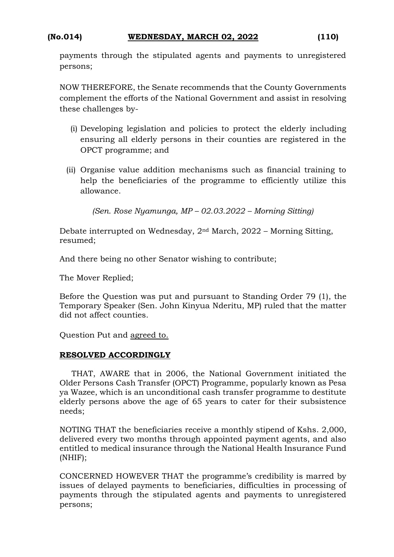## **(No.014) WEDNESDAY, MARCH 02, 2022 (110)**

payments through the stipulated agents and payments to unregistered persons;

NOW THEREFORE, the Senate recommends that the County Governments complement the efforts of the National Government and assist in resolving these challenges by-

- (i) Developing legislation and policies to protect the elderly including ensuring all elderly persons in their counties are registered in the OPCT programme; and
- (ii) Organise value addition mechanisms such as financial training to help the beneficiaries of the programme to efficiently utilize this allowance.

*(Sen. Rose Nyamunga, MP – 02.03.2022 – Morning Sitting)*

Debate interrupted on Wednesday, 2nd March, 2022 – Morning Sitting, resumed;

And there being no other Senator wishing to contribute;

The Mover Replied;

Before the Question was put and pursuant to Standing Order 79 (1), the Temporary Speaker (Sen. John Kinyua Nderitu, MP) ruled that the matter did not affect counties.

Question Put and agreed to.

## **RESOLVED ACCORDINGLY**

THAT, AWARE that in 2006, the National Government initiated the Older Persons Cash Transfer (OPCT) Programme, popularly known as Pesa ya Wazee, which is an unconditional cash transfer programme to destitute elderly persons above the age of 65 years to cater for their subsistence needs;

NOTING THAT the beneficiaries receive a monthly stipend of Kshs. 2,000, delivered every two months through appointed payment agents, and also entitled to medical insurance through the National Health Insurance Fund (NHIF);

CONCERNED HOWEVER THAT the programme's credibility is marred by issues of delayed payments to beneficiaries, difficulties in processing of payments through the stipulated agents and payments to unregistered persons;